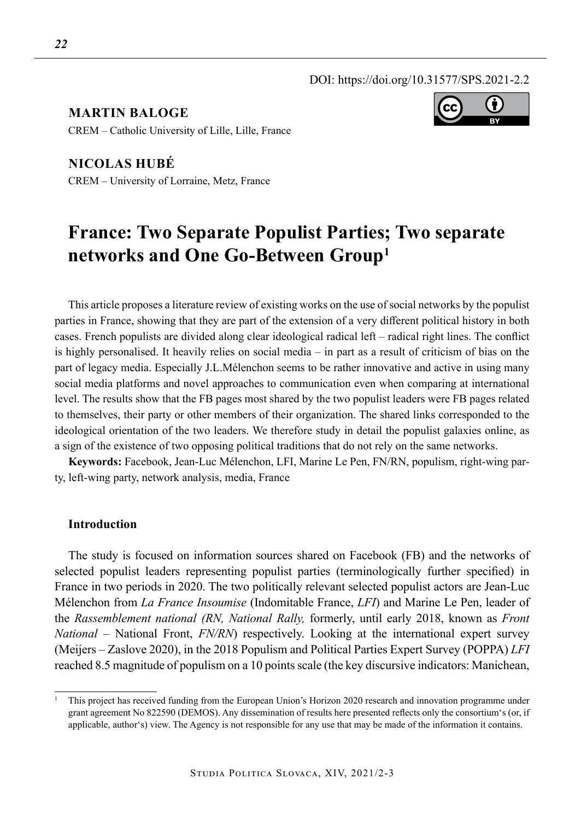DOI: https://doi.org/10.31577/SPS.2021-2.2

**Martin Baloge**  CREM – Catholic University of Lille, Lille, France

**Nicolas Hubé** CREM – University of Lorraine, Metz, France

# **France: Two Separate Populist Parties; Two separate networks and One Go-Between Group1**

This article proposes a literature review of existing works on the use of social networks by the populist parties in France, showing that they are part of the extension of a very different political history in both cases. French populists are divided along clear ideological radical left – radical right lines. The conflict is highly personalised. It heavily relies on social media – in part as a result of criticism of bias on the part of legacy media. Especially J.L.Mélenchon seems to be rather innovative and active in using many social media platforms and novel approaches to communication even when comparing at international level. The results show that the FB pages most shared by the two populist leaders were FB pages related to themselves, their party or other members of their organization. The shared links corresponded to the ideological orientation of the two leaders. We therefore study in detail the populist galaxies online, as a sign of the existence of two opposing political traditions that do not rely on the same networks.

**Keywords:** Facebook, Jean-Luc Mélenchon, LFI, Marine Le Pen, FN/RN, populism, right-wing party, left-wing party, network analysis, media, France

## **Introduction**

The study is focused on information sources shared on Facebook (FB) and the networks of selected populist leaders representing populist parties (terminologically further specified) in France in two periods in 2020. The two politically relevant selected populist actors are Jean-Luc Mélenchon from *La France Insoumise* (Indomitable France, *LFI*) and Marine Le Pen, leader of the *Rassemblement national (RN, National Rally,* formerly, until early 2018, known as *Front National* – National Front, *FN/RN*) respectively. Looking at the international expert survey (Meijers – Zaslove 2020), in the 2018 Populism and Political Parties Expert Survey (POPPA) *LFI*  reached 8.5 magnitude of populism on a 10 points scale (the key discursive indicators: Manichean,



<sup>1</sup> This project has received funding from the European Union's Horizon 2020 research and innovation programme under grant agreement No 822590 (DEMOS). Any dissemination of results here presented reflects only the consortium's (or, if applicable, author's) view. The Agency is not responsible for any use that may be made of the information it contains.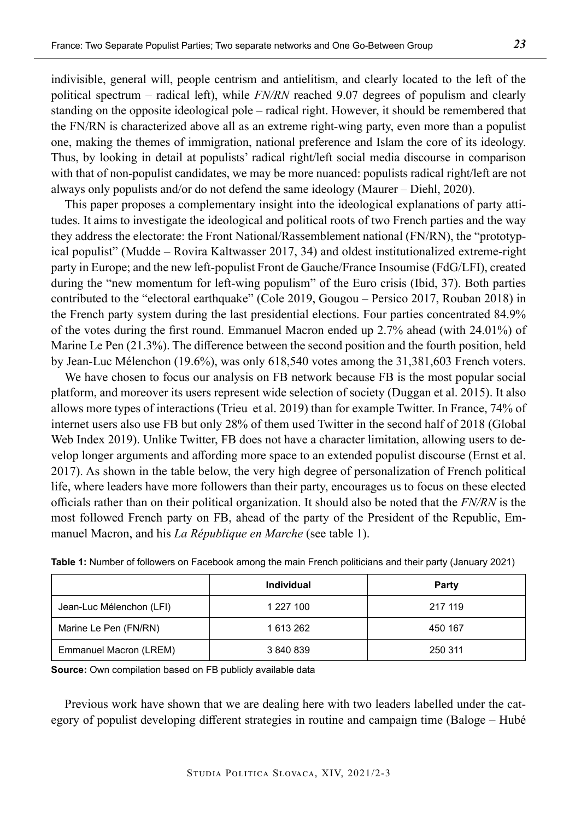indivisible, general will, people centrism and antielitism, and clearly located to the left of the political spectrum – radical left), while *FN/RN* reached 9.07 degrees of populism and clearly standing on the opposite ideological pole – radical right. However, it should be remembered that the FN/RN is characterized above all as an extreme right-wing party, even more than a populist one, making the themes of immigration, national preference and Islam the core of its ideology. Thus, by looking in detail at populists' radical right/left social media discourse in comparison with that of non-populist candidates, we may be more nuanced: populists radical right/left are not always only populists and/or do not defend the same ideology (Maurer – Diehl, 2020).

This paper proposes a complementary insight into the ideological explanations of party attitudes. It aims to investigate the ideological and political roots of two French parties and the way they address the electorate: the Front National/Rassemblement national (FN/RN), the "prototypical populist" (Mudde – Rovira Kaltwasser 2017, 34) and oldest institutionalized extreme-right party in Europe; and the new left-populist Front de Gauche/France Insoumise (FdG/LFI), created during the "new momentum for left-wing populism" of the Euro crisis (Ibid, 37). Both parties contributed to the "electoral earthquake" (Cole 2019, Gougou – Persico 2017, Rouban 2018) in the French party system during the last presidential elections. Four parties concentrated 84.9% of the votes during the first round. Emmanuel Macron ended up 2.7% ahead (with 24.01%) of Marine Le Pen (21.3%). The difference between the second position and the fourth position, held by Jean-Luc Mélenchon (19.6%), was only 618,540 votes among the 31,381,603 French voters.

We have chosen to focus our analysis on FB network because FB is the most popular social platform, and moreover its users represent wide selection of society (Duggan et al. 2015). It also allows more types of interactions (Trieu et al. 2019) than for example Twitter. In France, 74% of internet users also use FB but only 28% of them used Twitter in the second half of 2018 (Global Web Index 2019). Unlike Twitter, FB does not have a character limitation, allowing users to develop longer arguments and affording more space to an extended populist discourse (Ernst et al. 2017). As shown in the table below, the very high degree of personalization of French political life, where leaders have more followers than their party, encourages us to focus on these elected officials rather than on their political organization. It should also be noted that the *FN/RN* is the most followed French party on FB, ahead of the party of the President of the Republic, Emmanuel Macron, and his *La République en Marche* (see table 1).

|                          | <b>Individual</b> | Party   |
|--------------------------|-------------------|---------|
| Jean-Luc Mélenchon (LFI) | 1 227 100         | 217 119 |
| Marine Le Pen (FN/RN)    | 1613262           | 450 167 |
| Emmanuel Macron (LREM)   | 3 840 839         | 250 311 |

| Table 1: Number of followers on Facebook among the main French politicians and their party (January 2021) |  |
|-----------------------------------------------------------------------------------------------------------|--|
|-----------------------------------------------------------------------------------------------------------|--|

**Source:** Own compilation based on FB publicly available data

Previous work have shown that we are dealing here with two leaders labelled under the category of populist developing different strategies in routine and campaign time (Baloge – Hubé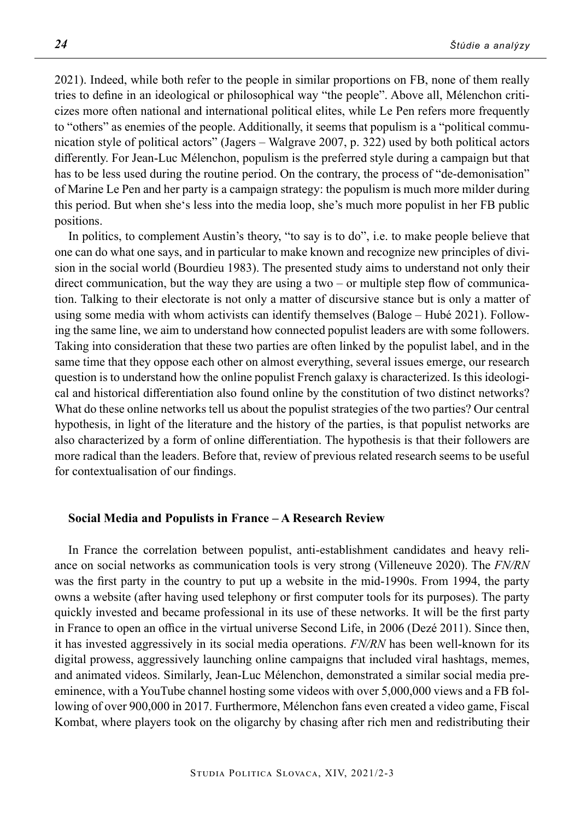2021). Indeed, while both refer to the people in similar proportions on FB, none of them really tries to define in an ideological or philosophical way "the people". Above all, Mélenchon criticizes more often national and international political elites, while Le Pen refers more frequently to "others" as enemies of the people. Additionally, it seems that populism is a "political communication style of political actors" (Jagers – Walgrave 2007, p. 322) used by both political actors differently. For Jean-Luc Mélenchon, populism is the preferred style during a campaign but that has to be less used during the routine period. On the contrary, the process of "de-demonisation" of Marine Le Pen and her party is a campaign strategy: the populism is much more milder during this period. But when she's less into the media loop, she's much more populist in her FB public positions.

In politics, to complement Austin's theory, "to say is to do", i.e. to make people believe that one can do what one says, and in particular to make known and recognize new principles of division in the social world (Bourdieu 1983). The presented study aims to understand not only their direct communication, but the way they are using a two – or multiple step flow of communication. Talking to their electorate is not only a matter of discursive stance but is only a matter of using some media with whom activists can identify themselves (Baloge – Hubé 2021). Following the same line, we aim to understand how connected populist leaders are with some followers. Taking into consideration that these two parties are often linked by the populist label, and in the same time that they oppose each other on almost everything, several issues emerge, our research question is to understand how the online populist French galaxy is characterized. Is this ideological and historical differentiation also found online by the constitution of two distinct networks? What do these online networks tell us about the populist strategies of the two parties? Our central hypothesis, in light of the literature and the history of the parties, is that populist networks are also characterized by a form of online differentiation. The hypothesis is that their followers are more radical than the leaders. Before that, review of previous related research seems to be useful for contextualisation of our findings.

## **Social Media and Populists in France – A Research Review**

In France the correlation between populist, anti-establishment candidates and heavy reliance on social networks as communication tools is very strong (Villeneuve 2020). The *FN/RN*  was the first party in the country to put up a website in the mid-1990s. From 1994, the party owns a website (after having used telephony or first computer tools for its purposes). The party quickly invested and became professional in its use of these networks. It will be the first party in France to open an office in the virtual universe Second Life, in 2006 (Dezé 2011). Since then, it has invested aggressively in its social media operations. *FN/RN* has been well-known for its digital prowess, aggressively launching online campaigns that included viral hashtags, memes, and animated videos. Similarly, Jean-Luc Mélenchon, demonstrated a similar social media preeminence, with a YouTube channel hosting some videos with over 5,000,000 views and a FB following of over 900,000 in 2017. Furthermore, Mélenchon fans even created a video game, Fiscal Kombat, where players took on the oligarchy by chasing after rich men and redistributing their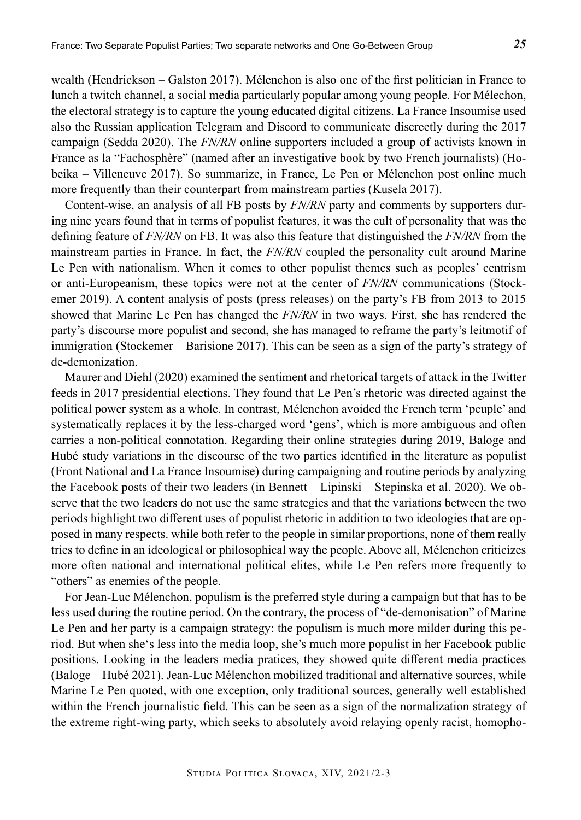wealth (Hendrickson – Galston 2017). Mélenchon is also one of the first politician in France to lunch a twitch channel, a social media particularly popular among young people. For Mélechon, the electoral strategy is to capture the young educated digital citizens. La France Insoumise used also the Russian application Telegram and Discord to communicate discreetly during the 2017 campaign (Sedda 2020). The *FN/RN* online supporters included a group of activists known in France as la "Fachosphère" (named after an investigative book by two French journalists) (Hobeika – Villeneuve 2017). So summarize, in France, Le Pen or Mélenchon post online much more frequently than their counterpart from mainstream parties (Kusela 2017).

Content-wise, an analysis of all FB posts by *FN/RN* party and comments by supporters during nine years found that in terms of populist features, it was the cult of personality that was the defining feature of *FN/RN* on FB. It was also this feature that distinguished the *FN/RN* from the mainstream parties in France. In fact, the *FN/RN* coupled the personality cult around Marine Le Pen with nationalism. When it comes to other populist themes such as peoples' centrism or anti-Europeanism, these topics were not at the center of *FN/RN* communications (Stockemer 2019). A content analysis of posts (press releases) on the party's FB from 2013 to 2015 showed that Marine Le Pen has changed the *FN/RN* in two ways. First, she has rendered the party's discourse more populist and second, she has managed to reframe the party's leitmotif of immigration (Stockemer – Barisione 2017). This can be seen as a sign of the party's strategy of de-demonization.

Maurer and Diehl (2020) examined the sentiment and rhetorical targets of attack in the Twitter feeds in 2017 presidential elections. They found that Le Pen's rhetoric was directed against the political power system as a whole. In contrast, Mélenchon avoided the French term 'peuple' and systematically replaces it by the less-charged word 'gens', which is more ambiguous and often carries a non-political connotation. Regarding their online strategies during 2019, Baloge and Hubé study variations in the discourse of the two parties identified in the literature as populist (Front National and La France Insoumise) during campaigning and routine periods by analyzing the Facebook posts of their two leaders (in Bennett – Lipinski – Stepinska et al. 2020). We observe that the two leaders do not use the same strategies and that the variations between the two periods highlight two different uses of populist rhetoric in addition to two ideologies that are opposed in many respects. while both refer to the people in similar proportions, none of them really tries to define in an ideological or philosophical way the people. Above all, Mélenchon criticizes more often national and international political elites, while Le Pen refers more frequently to "others" as enemies of the people.

For Jean-Luc Mélenchon, populism is the preferred style during a campaign but that has to be less used during the routine period. On the contrary, the process of "de-demonisation" of Marine Le Pen and her party is a campaign strategy: the populism is much more milder during this period. But when she's less into the media loop, she's much more populist in her Facebook public positions. Looking in the leaders media pratices, they showed quite different media practices (Baloge – Hubé 2021). Jean-Luc Mélenchon mobilized traditional and alternative sources, while Marine Le Pen quoted, with one exception, only traditional sources, generally well established within the French journalistic field. This can be seen as a sign of the normalization strategy of the extreme right-wing party, which seeks to absolutely avoid relaying openly racist, homopho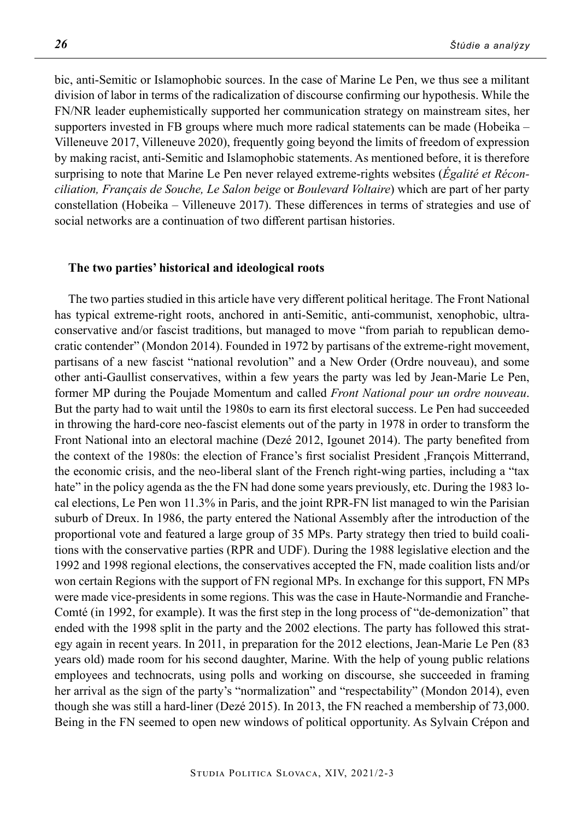bic, anti-Semitic or Islamophobic sources. In the case of Marine Le Pen, we thus see a militant division of labor in terms of the radicalization of discourse confirming our hypothesis. While the FN/NR leader euphemistically supported her communication strategy on mainstream sites, her supporters invested in FB groups where much more radical statements can be made (Hobeika – Villeneuve 2017, Villeneuve 2020), frequently going beyond the limits of freedom of expression by making racist, anti-Semitic and Islamophobic statements. As mentioned before, it is therefore surprising to note that Marine Le Pen never relayed extreme-rights websites (*Égalité et Réconciliation, Français de Souche, Le Salon beige* or *Boulevard Voltaire*) which are part of her party constellation (Hobeika – Villeneuve 2017). These differences in terms of strategies and use of social networks are a continuation of two different partisan histories.

#### **The two parties' historical and ideological roots**

The two parties studied in this article have very different political heritage. The Front National has typical extreme-right roots, anchored in anti-Semitic, anti-communist, xenophobic, ultraconservative and/or fascist traditions, but managed to move "from pariah to republican democratic contender" (Mondon 2014). Founded in 1972 by partisans of the extreme-right movement, partisans of a new fascist "national revolution" and a New Order (Ordre nouveau), and some other anti-Gaullist conservatives, within a few years the party was led by Jean-Marie Le Pen, former MP during the Poujade Momentum and called *Front National pour un ordre nouveau*. But the party had to wait until the 1980s to earn its first electoral success. Le Pen had succeeded in throwing the hard-core neo-fascist elements out of the party in 1978 in order to transform the Front National into an electoral machine (Dezé 2012, Igounet 2014). The party benefited from the context of the 1980s: the election of France's first socialist President ,François Mitterrand, the economic crisis, and the neo-liberal slant of the French right-wing parties, including a "tax hate" in the policy agenda as the the FN had done some years previously, etc. During the 1983 local elections, Le Pen won 11.3% in Paris, and the joint RPR-FN list managed to win the Parisian suburb of Dreux. In 1986, the party entered the National Assembly after the introduction of the proportional vote and featured a large group of 35 MPs. Party strategy then tried to build coalitions with the conservative parties (RPR and UDF). During the 1988 legislative election and the 1992 and 1998 regional elections, the conservatives accepted the FN, made coalition lists and/or won certain Regions with the support of FN regional MPs. In exchange for this support, FN MPs were made vice-presidents in some regions. This was the case in Haute-Normandie and Franche-Comté (in 1992, for example). It was the first step in the long process of "de-demonization" that ended with the 1998 split in the party and the 2002 elections. The party has followed this strategy again in recent years. In 2011, in preparation for the 2012 elections, Jean-Marie Le Pen (83 years old) made room for his second daughter, Marine. With the help of young public relations employees and technocrats, using polls and working on discourse, she succeeded in framing her arrival as the sign of the party's "normalization" and "respectability" (Mondon 2014), even though she was still a hard-liner (Dezé 2015). In 2013, the FN reached a membership of 73,000. Being in the FN seemed to open new windows of political opportunity. As Sylvain Crépon and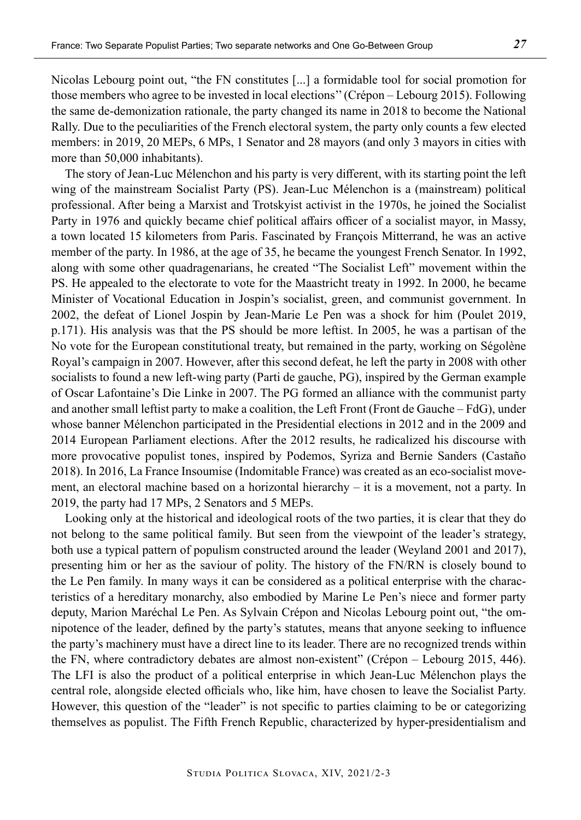Nicolas Lebourg point out, "the FN constitutes [...] a formidable tool for social promotion for those members who agree to be invested in local elections'' (Crépon – Lebourg 2015). Following the same de-demonization rationale, the party changed its name in 2018 to become the National Rally. Due to the peculiarities of the French electoral system, the party only counts a few elected members: in 2019, 20 MEPs, 6 MPs, 1 Senator and 28 mayors (and only 3 mayors in cities with more than 50,000 inhabitants).

The story of Jean-Luc Mélenchon and his party is very different, with its starting point the left wing of the mainstream Socialist Party (PS). Jean-Luc Mélenchon is a (mainstream) political professional. After being a Marxist and Trotskyist activist in the 1970s, he joined the Socialist Party in 1976 and quickly became chief political affairs officer of a socialist mayor, in Massy, a town located 15 kilometers from Paris. Fascinated by François Mitterrand, he was an active member of the party. In 1986, at the age of 35, he became the youngest French Senator. In 1992, along with some other quadragenarians, he created "The Socialist Left" movement within the PS. He appealed to the electorate to vote for the Maastricht treaty in 1992. In 2000, he became Minister of Vocational Education in Jospin's socialist, green, and communist government. In 2002, the defeat of Lionel Jospin by Jean-Marie Le Pen was a shock for him (Poulet 2019, p.171). His analysis was that the PS should be more leftist. In 2005, he was a partisan of the No vote for the European constitutional treaty, but remained in the party, working on Ségolène Royal's campaign in 2007. However, after this second defeat, he left the party in 2008 with other socialists to found a new left-wing party (Parti de gauche, PG), inspired by the German example of Oscar Lafontaine's Die Linke in 2007. The PG formed an alliance with the communist party and another small leftist party to make a coalition, the Left Front (Front de Gauche – FdG), under whose banner Mélenchon participated in the Presidential elections in 2012 and in the 2009 and 2014 European Parliament elections. After the 2012 results, he radicalized his discourse with more provocative populist tones, inspired by Podemos, Syriza and Bernie Sanders (Castaño 2018). In 2016, La France Insoumise (Indomitable France) was created as an eco-socialist movement, an electoral machine based on a horizontal hierarchy – it is a movement, not a party. In 2019, the party had 17 MPs, 2 Senators and 5 MEPs.

Looking only at the historical and ideological roots of the two parties, it is clear that they do not belong to the same political family. But seen from the viewpoint of the leader's strategy, both use a typical pattern of populism constructed around the leader (Weyland 2001 and 2017), presenting him or her as the saviour of polity. The history of the FN/RN is closely bound to the Le Pen family. In many ways it can be considered as a political enterprise with the characteristics of a hereditary monarchy, also embodied by Marine Le Pen's niece and former party deputy, Marion Maréchal Le Pen. As Sylvain Crépon and Nicolas Lebourg point out, "the omnipotence of the leader, defined by the party's statutes, means that anyone seeking to influence the party's machinery must have a direct line to its leader. There are no recognized trends within the FN, where contradictory debates are almost non-existent" (Crépon – Lebourg 2015, 446). The LFI is also the product of a political enterprise in which Jean-Luc Mélenchon plays the central role, alongside elected officials who, like him, have chosen to leave the Socialist Party. However, this question of the "leader" is not specific to parties claiming to be or categorizing themselves as populist. The Fifth French Republic, characterized by hyper-presidentialism and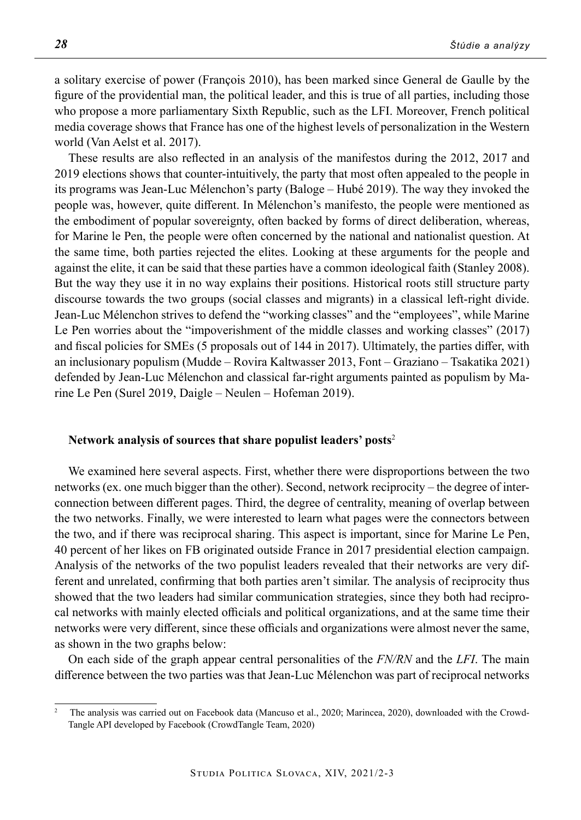a solitary exercise of power (François 2010), has been marked since General de Gaulle by the figure of the providential man, the political leader, and this is true of all parties, including those who propose a more parliamentary Sixth Republic, such as the LFI. Moreover, French political media coverage shows that France has one of the highest levels of personalization in the Western world (Van Aelst et al. 2017).

These results are also reflected in an analysis of the manifestos during the 2012, 2017 and 2019 elections shows that counter-intuitively, the party that most often appealed to the people in its programs was Jean-Luc Mélenchon's party (Baloge – Hubé 2019). The way they invoked the people was, however, quite different. In Mélenchon's manifesto, the people were mentioned as the embodiment of popular sovereignty, often backed by forms of direct deliberation, whereas, for Marine le Pen, the people were often concerned by the national and nationalist question. At the same time, both parties rejected the elites. Looking at these arguments for the people and against the elite, it can be said that these parties have a common ideological faith (Stanley 2008). But the way they use it in no way explains their positions. Historical roots still structure party discourse towards the two groups (social classes and migrants) in a classical left-right divide. Jean-Luc Mélenchon strives to defend the "working classes" and the "employees", while Marine Le Pen worries about the "impoverishment of the middle classes and working classes" (2017) and fiscal policies for SMEs (5 proposals out of 144 in 2017). Ultimately, the parties differ, with an inclusionary populism (Mudde – Rovira Kaltwasser 2013, Font – Graziano – Tsakatika 2021) defended by Jean-Luc Mélenchon and classical far-right arguments painted as populism by Marine Le Pen (Surel 2019, Daigle – Neulen – Hofeman 2019).

## **Network analysis of sources that share populist leaders' posts**<sup>2</sup>

We examined here several aspects. First, whether there were disproportions between the two networks (ex. one much bigger than the other). Second, network reciprocity – the degree of interconnection between different pages. Third, the degree of centrality, meaning of overlap between the two networks. Finally, we were interested to learn what pages were the connectors between the two, and if there was reciprocal sharing. This aspect is important, since for Marine Le Pen, 40 percent of her likes on FB originated outside France in 2017 presidential election campaign. Analysis of the networks of the two populist leaders revealed that their networks are very different and unrelated, confirming that both parties aren't similar. The analysis of reciprocity thus showed that the two leaders had similar communication strategies, since they both had reciprocal networks with mainly elected officials and political organizations, and at the same time their networks were very different, since these officials and organizations were almost never the same, as shown in the two graphs below:

On each side of the graph appear central personalities of the *FN/RN* and the *LFI*. The main difference between the two parties was that Jean-Luc Mélenchon was part of reciprocal networks

<sup>2</sup> The analysis was carried out on Facebook data (Mancuso et al., 2020; Marincea, 2020), downloaded with the Crowd-Tangle API developed by Facebook (CrowdTangle Team, 2020)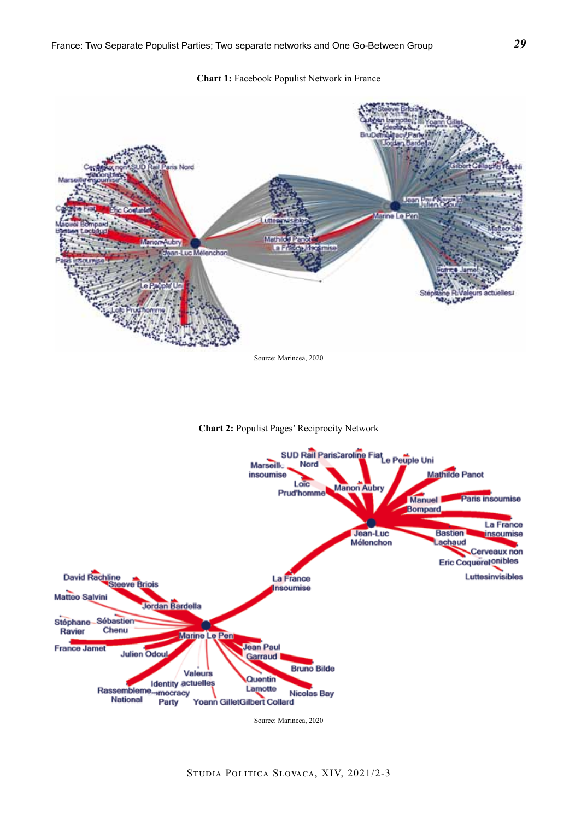**Chart 1:** Facebook Populist Network in France







Studia Politica Slovaca, XIV, 2021/2-3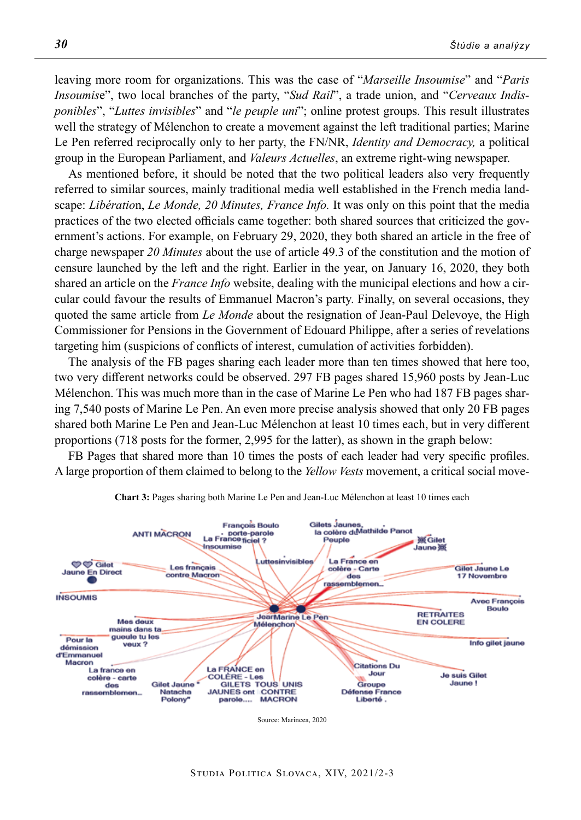leaving more room for organizations. This was the case of "*Marseille Insoumise*" and "*Paris Insoumis*e", two local branches of the party, "*Sud Rail*", a trade union, and "*Cerveaux Indisponibles*", "*Luttes invisibles*" and "*le peuple uni*"; online protest groups. This result illustrates well the strategy of Mélenchon to create a movement against the left traditional parties; Marine Le Pen referred reciprocally only to her party, the FN/NR, *Identity and Democracy,* a political group in the European Parliament, and *Valeurs Actuelles*, an extreme right-wing newspaper.

As mentioned before, it should be noted that the two political leaders also very frequently referred to similar sources, mainly traditional media well established in the French media landscape: *Libératio*n, *Le Monde, 20 Minutes, France Info.* It was only on this point that the media practices of the two elected officials came together: both shared sources that criticized the government's actions. For example, on February 29, 2020, they both shared an article in the free of charge newspaper *20 Minutes* about the use of article 49.3 of the constitution and the motion of censure launched by the left and the right. Earlier in the year, on January 16, 2020, they both shared an article on the *France Info* website, dealing with the municipal elections and how a circular could favour the results of Emmanuel Macron's party. Finally, on several occasions, they quoted the same article from *Le Monde* about the resignation of Jean-Paul Delevoye, the High Commissioner for Pensions in the Government of Edouard Philippe, after a series of revelations targeting him (suspicions of conflicts of interest, cumulation of activities forbidden).

The analysis of the FB pages sharing each leader more than ten times showed that here too, two very different networks could be observed. 297 FB pages shared 15,960 posts by Jean-Luc Mélenchon. This was much more than in the case of Marine Le Pen who had 187 FB pages sharing 7,540 posts of Marine Le Pen. An even more precise analysis showed that only 20 FB pages shared both Marine Le Pen and Jean-Luc Mélenchon at least 10 times each, but in very different proportions (718 posts for the former, 2,995 for the latter), as shown in the graph below:

FB Pages that shared more than 10 times the posts of each leader had very specific profiles. A large proportion of them claimed to belong to the *Yellow Vests* movement, a critical social move-



**Chart 3:** Pages sharing both Marine Le Pen and Jean-Luc Mélenchon at least 10 times each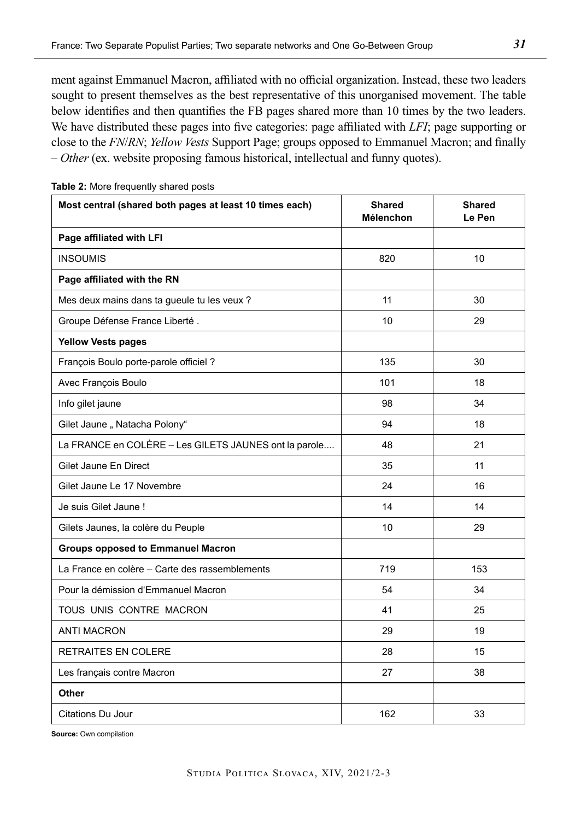ment against Emmanuel Macron, affiliated with no official organization. Instead, these two leaders sought to present themselves as the best representative of this unorganised movement. The table below identifies and then quantifies the FB pages shared more than 10 times by the two leaders. We have distributed these pages into five categories: page affiliated with *LFI*; page supporting or close to the *FN*/*RN*; *Yellow Vests* Support Page; groups opposed to Emmanuel Macron; and finally – *Other* (ex. website proposing famous historical, intellectual and funny quotes).

| Most central (shared both pages at least 10 times each) | <b>Shared</b><br>Mélenchon | <b>Shared</b><br>Le Pen |
|---------------------------------------------------------|----------------------------|-------------------------|
| Page affiliated with LFI                                |                            |                         |
| <b>INSOUMIS</b>                                         | 820                        | 10                      |
| Page affiliated with the RN                             |                            |                         |
| Mes deux mains dans ta gueule tu les veux ?             | 11                         | 30                      |
| Groupe Défense France Liberté.                          | 10                         | 29                      |
| <b>Yellow Vests pages</b>                               |                            |                         |
| François Boulo porte-parole officiel?                   | 135                        | 30                      |
| Avec François Boulo                                     | 101                        | 18                      |
| Info gilet jaune                                        | 98                         | 34                      |
| Gilet Jaune " Natacha Polony"                           | 94                         | 18                      |
| La FRANCE en COLÈRE - Les GILETS JAUNES ont la parole   | 48                         | 21                      |
| Gilet Jaune En Direct                                   | 35                         | 11                      |
| Gilet Jaune Le 17 Novembre                              | 24                         | 16                      |
| Je suis Gilet Jaune !                                   | 14                         | 14                      |
| Gilets Jaunes, la colère du Peuple                      | 10                         | 29                      |
| <b>Groups opposed to Emmanuel Macron</b>                |                            |                         |
| La France en colère – Carte des rassemblements          | 719                        | 153                     |
| Pour la démission d'Emmanuel Macron                     | 54                         | 34                      |
| TOUS UNIS CONTRE MACRON                                 | 41                         | 25                      |
| <b>ANTI MACRON</b>                                      | 29                         | 19                      |
| <b>RETRAITES EN COLERE</b>                              | 28                         | 15                      |
| Les français contre Macron                              | 27                         | 38                      |
| Other                                                   |                            |                         |
| <b>Citations Du Jour</b>                                | 162                        | 33                      |

**Table 2:** More frequently shared posts

**Source:** Own compilation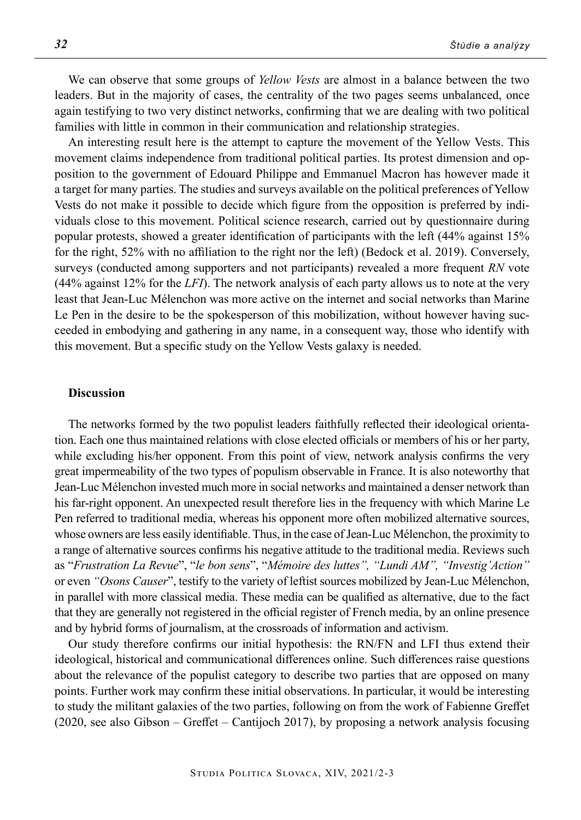We can observe that some groups of *Yellow Vests* are almost in a balance between the two leaders. But in the majority of cases, the centrality of the two pages seems unbalanced, once again testifying to two very distinct networks, confirming that we are dealing with two political families with little in common in their communication and relationship strategies.

An interesting result here is the attempt to capture the movement of the Yellow Vests. This movement claims independence from traditional political parties. Its protest dimension and opposition to the government of Edouard Philippe and Emmanuel Macron has however made it a target for many parties. The studies and surveys available on the political preferences of Yellow Vests do not make it possible to decide which figure from the opposition is preferred by individuals close to this movement. Political science research, carried out by questionnaire during popular protests, showed a greater identification of participants with the left (44% against 15% for the right, 52% with no affiliation to the right nor the left) (Bedock et al. 2019). Conversely, surveys (conducted among supporters and not participants) revealed a more frequent *RN* vote (44% against 12% for the *LFI*). The network analysis of each party allows us to note at the very least that Jean-Luc Mélenchon was more active on the internet and social networks than Marine Le Pen in the desire to be the spokesperson of this mobilization, without however having succeeded in embodying and gathering in any name, in a consequent way, those who identify with this movement. But a specific study on the Yellow Vests galaxy is needed.

### **Discussion**

The networks formed by the two populist leaders faithfully reflected their ideological orientation. Each one thus maintained relations with close elected officials or members of his or her party, while excluding his/her opponent. From this point of view, network analysis confirms the very great impermeability of the two types of populism observable in France. It is also noteworthy that Jean-Luc Mélenchon invested much more in social networks and maintained a denser network than his far-right opponent. An unexpected result therefore lies in the frequency with which Marine Le Pen referred to traditional media, whereas his opponent more often mobilized alternative sources, whose owners are less easily identifiable. Thus, in the case of Jean-Luc Mélenchon, the proximity to a range of alternative sources confirms his negative attitude to the traditional media. Reviews such as "*Frustration La Revue*", "*le bon sens*", "*Mémoire des luttes", "Lundi AM", "Investig'Action"*  or even *"Osons Causer*", testify to the variety of leftist sources mobilized by Jean-Luc Mélenchon, in parallel with more classical media. These media can be qualified as alternative, due to the fact that they are generally not registered in the official register of French media, by an online presence and by hybrid forms of journalism, at the crossroads of information and activism.

Our study therefore confirms our initial hypothesis: the RN/FN and LFI thus extend their ideological, historical and communicational differences online. Such differences raise questions about the relevance of the populist category to describe two parties that are opposed on many points. Further work may confirm these initial observations. In particular, it would be interesting to study the militant galaxies of the two parties, following on from the work of Fabienne Greffet (2020, see also Gibson – Greffet – Cantijoch 2017), by proposing a network analysis focusing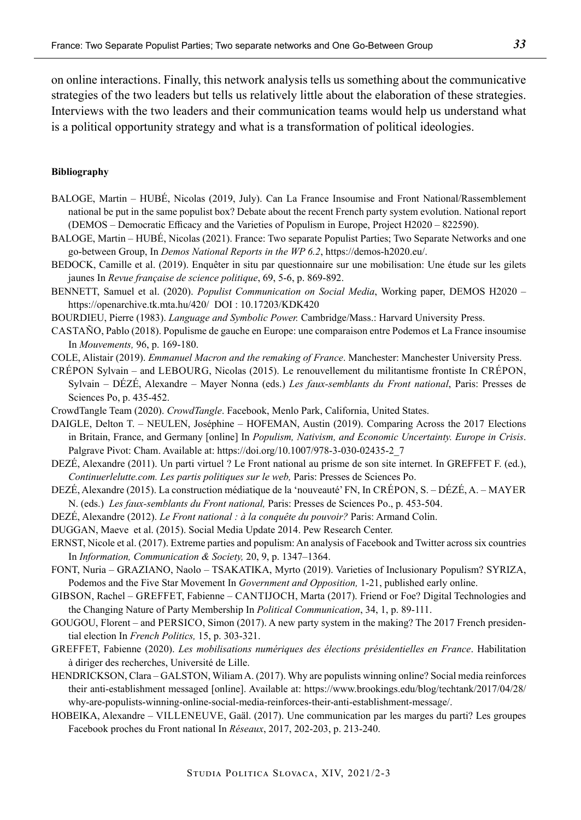on online interactions. Finally, this network analysis tells us something about the communicative strategies of the two leaders but tells us relatively little about the elaboration of these strategies. Interviews with the two leaders and their communication teams would help us understand what is a political opportunity strategy and what is a transformation of political ideologies.

#### **Bibliography**

- BALOGE, Martin HUBÉ, Nicolas (2019, July). Can La France Insoumise and Front National/Rassemblement national be put in the same populist box? Debate about the recent French party system evolution. National report (DEMOS – Democratic Efficacy and the Varieties of Populism in Europe, Project H2020 – 822590).
- BALOGE, Martin HUBÉ, Nicolas (2021). France: Two separate Populist Parties; Two Separate Networks and one go-between Group, In *Demos National Reports in the WP 6.2*, https://demos-h2020.eu/.
- BEDOCK, Camille et al. (2019). Enquêter in situ par questionnaire sur une mobilisation: Une étude sur les gilets jaunes In *Revue française de science politique*, 69, 5-6, p. 869-892.
- BENNETT, Samuel et al. (2020). *Populist Communication on Social Media*, Working paper, DEMOS H2020 https://openarchive.tk.mta.hu/420/ DOI : 10.17203/KDK420
- BOURDIEU, Pierre (1983). *Language and Symbolic Power.* Cambridge/Mass.: Harvard University Press.
- Castaño, Pablo (2018). Populisme de gauche en Europe: une comparaison entre Podemos et La France insoumise In *Mouvements,* 96, p. 169-180.
- COLE, Alistair (2019). *Emmanuel Macron and the remaking of France*. Manchester: Manchester University Press.

Crépon Sylvain – and Lebourg, Nicolas (2015). Le renouvellement du militantisme frontiste In Crépon, Sylvain – DÉZÉ, Alexandre – Mayer Nonna (eds.) *Les faux-semblants du Front national*, Paris: Presses de Sciences Po, p. 435-452.

- CrowdTangle Team (2020). *CrowdTangle*. Facebook, Menlo Park, California, United States.
- DAIGLE, Delton T. NEULEN, Joséphine HOFEMAN, Austin (2019). Comparing Across the 2017 Elections in Britain, France, and Germany [online] In *Populism, Nativism, and Economic Uncertainty. Europe in Crisis*. Palgrave Pivot: Cham. Available at: https://doi.org/10.1007/978-3-030-02435-2\_7

DEZÉ, Alexandre (2011). Un parti virtuel ? Le Front national au prisme de son site internet. In GREFFET F. (ed.), *Continuerlelutte.com. Les partis politiques sur le web,* Paris: Presses de Sciences Po.

- DEZÉ, Alexandre (2015). La construction médiatique de la 'nouveauté' FN, In CRÉPON, S. DÉZÉ, A. MAYER N. (eds.) *Les faux-semblants du Front national,* Paris: Presses de Sciences Po., p. 453-504.
- DEZÉ, Alexandre (2012). *Le Front national : à la conquête du pouvoir?* Paris: Armand Colin.
- DUGGAN, Maeve et al. (2015). Social Media Update 2014. Pew Research Center.
- ERNST, Nicole et al. (2017). Extreme parties and populism: An analysis of Facebook and Twitter across six countries In *Information, Communication & Society,* 20, 9, p. 1347–1364.
- FONT, Nuria GRAZIANO, Naolo TSAKATIKA, Myrto (2019). Varieties of Inclusionary Populism? SYRIZA, Podemos and the Five Star Movement In *Government and Opposition,* 1-21, published early online.
- GIBSON, Rachel GREFFET, Fabienne CANTIJOCH, Marta (2017). Friend or Foe? Digital Technologies and the Changing Nature of Party Membership In *Political Communication*, 34, 1, p. 89-111.
- GOUGOU, Florent and PERSICO, Simon (2017). A new party system in the making? The 2017 French presidential election In *French Politics,* 15, p. 303-321.
- GREFFET, Fabienne (2020). *Les mobilisations numériques des élections présidentielles en France*. Habilitation à diriger des recherches, Université de Lille.
- HENDRICKSON, Clara GALSTON, Wiliam A. (2017). Why are populists winning online? Social media reinforces their anti-establishment messaged [online]. Available at: https://www.brookings.edu/blog/techtank/2017/04/28/ why-are-populists-winning-online-social-media-reinforces-their-anti-establishment-message/.
- HOBEIKA, Alexandre VILLENEUVE, Gaäl. (2017). Une communication par les marges du parti? Les groupes Facebook proches du Front national In *Réseaux*, 2017, 202-203, p. 213-240.